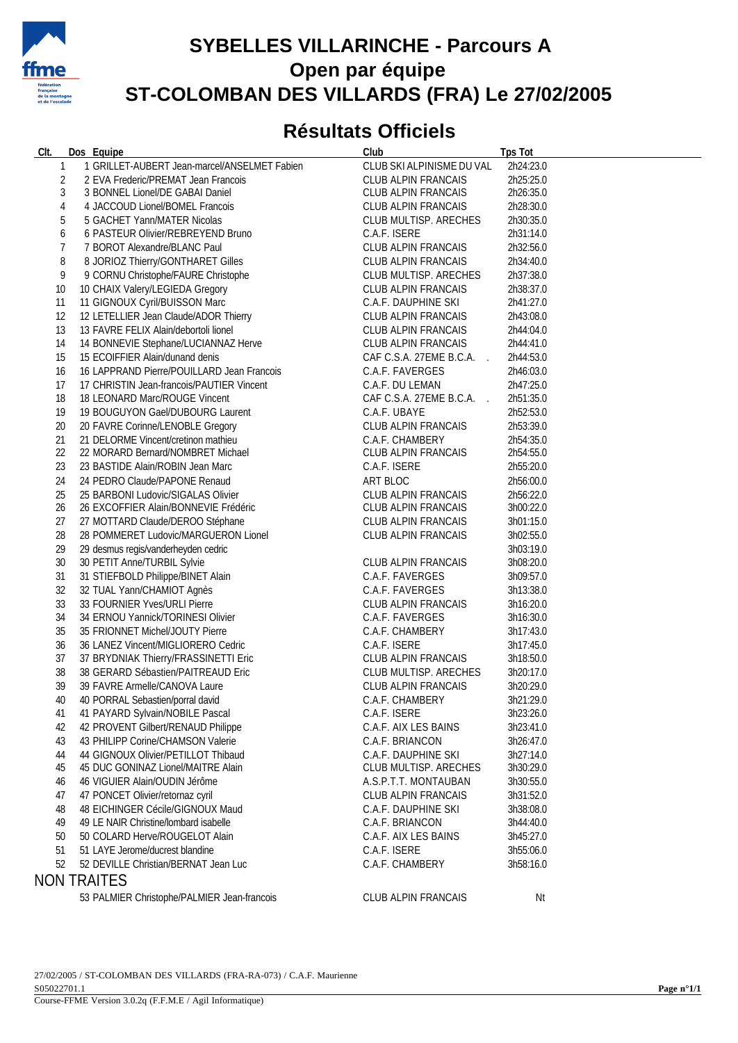

## **SYBELLES VILLARINCHE - Parcours A Open par équipe ST-COLOMBAN DES VILLARDS (FRA) Le 27/02/2005**

## **Résultats Officiels**

| CIt.         | Dos Equipe                                                                | Club                                          | <b>Tps Tot</b>         |
|--------------|---------------------------------------------------------------------------|-----------------------------------------------|------------------------|
| $\mathbf{1}$ | 1 GRILLET-AUBERT Jean-marcel/ANSELMET Fabien                              | CLUB SKI ALPINISME DU VAL                     | 2h24:23.0              |
| 2            | 2 EVA Frederic/PREMAT Jean Francois                                       | CLUB ALPIN FRANCAIS                           | 2h25:25.0              |
| 3            | 3 BONNEL Lionel/DE GABAI Daniel                                           | CLUB ALPIN FRANCAIS                           | 2h26:35.0              |
| 4            | 4 JACCOUD Lionel/BOMEL Francois                                           | CLUB ALPIN FRANCAIS                           | 2h28:30.0              |
| 5            | 5 GACHET Yann/MATER Nicolas                                               | CLUB MULTISP. ARECHES                         | 2h30:35.0              |
| 6            | 6 PASTEUR Olivier/REBREYEND Bruno                                         | C.A.F. ISERE                                  | 2h31:14.0              |
| 7            | 7 BOROT Alexandre/BLANC Paul                                              | CLUB ALPIN FRANCAIS                           | 2h32:56.0              |
| 8            | 8 JORIOZ Thierry/GONTHARET Gilles                                         | CLUB ALPIN FRANCAIS                           | 2h34:40.0              |
| 9            | 9 CORNU Christophe/FAURE Christophe                                       | CLUB MULTISP. ARECHES                         | 2h37:38.0              |
| 10           | 10 CHAIX Valery/LEGIEDA Gregory                                           | CLUB ALPIN FRANCAIS                           | 2h38:37.0              |
| 11           | 11 GIGNOUX Cyril/BUISSON Marc                                             | C.A.F. DAUPHINE SKI                           | 2h41:27.0              |
| 12           | 12 LETELLIER Jean Claude/ADOR Thierry                                     | CLUB ALPIN FRANCAIS                           | 2h43:08.0              |
| 13           | 13 FAVRE FELIX Alain/debortoli lionel                                     | CLUB ALPIN FRANCAIS                           | 2h44:04.0              |
| 14           | 14 BONNEVIE Stephane/LUCIANNAZ Herve                                      | CLUB ALPIN FRANCAIS                           | 2h44:41.0              |
| 15           | 15 ECOIFFIER Alain/dunand denis                                           | CAF C.S.A. 27EME B.C.A.                       | 2h44:53.0              |
| 16           | 16 LAPPRAND Pierre/POUILLARD Jean Francois                                | C.A.F. FAVERGES                               | 2h46:03.0              |
| 17           | 17 CHRISTIN Jean-francois/PAUTIER Vincent                                 | C.A.F. DU LEMAN                               | 2h47:25.0              |
| 18           | 18 LEONARD Marc/ROUGE Vincent                                             | CAF C.S.A. 27EME B.C.A.                       | 2h51:35.0              |
| 19           | 19 BOUGUYON Gael/DUBOURG Laurent                                          | C.A.F. UBAYE                                  | 2h52:53.0              |
| 20           | 20 FAVRE Corinne/LENOBLE Gregory                                          | CLUB ALPIN FRANCAIS                           | 2h53:39.0              |
| 21           | 21 DELORME Vincent/cretinon mathieu                                       | C.A.F. CHAMBERY                               | 2h54:35.0              |
| 22           | 22 MORARD Bernard/NOMBRET Michael                                         | CLUB ALPIN FRANCAIS                           | 2h54:55.0              |
| 23           | 23 BASTIDE Alain/ROBIN Jean Marc                                          | C.A.F. ISERE                                  | 2h55:20.0              |
| 24           | 24 PEDRO Claude/PAPONE Renaud                                             | ART BLOC                                      | 2h56:00.0              |
| 25           | 25 BARBONI Ludovic/SIGALAS Olivier                                        | CLUB ALPIN FRANCAIS                           | 2h56:22.0              |
| 26           | 26 EXCOFFIER Alain/BONNEVIE Frédéric                                      | CLUB ALPIN FRANCAIS                           | 3h00:22.0              |
| 27           | 27 MOTTARD Claude/DEROO Stéphane                                          | CLUB ALPIN FRANCAIS                           | 3h01:15.0              |
| 28           | 28 POMMERET Ludovic/MARGUERON Lionel                                      | CLUB ALPIN FRANCAIS                           | 3h02:55.0              |
| 29           | 29 desmus regis/vanderheyden cedric                                       |                                               | 3h03:19.0              |
| 30           | 30 PETIT Anne/TURBIL Sylvie                                               | CLUB ALPIN FRANCAIS                           | 3h08:20.0              |
| 31           | 31 STIEFBOLD Philippe/BINET Alain                                         | C.A.F. FAVERGES                               | 3h09:57.0              |
| 32           | 32 TUAL Yann/CHAMIOT Agnès                                                | C.A.F. FAVERGES                               | 3h13:38.0              |
| 33           | 33 FOURNIER Yves/URLI Pierre                                              | CLUB ALPIN FRANCAIS                           | 3h16:20.0              |
| 34           | 34 ERNOU Yannick/TORINESI Olivier                                         | C.A.F. FAVERGES                               | 3h16:30.0              |
| 35           | 35 FRIONNET Michel/JOUTY Pierre                                           | C.A.F. CHAMBERY                               | 3h17:43.0              |
| 36           | 36 LANEZ Vincent/MIGLIORERO Cedric                                        | C.A.F. ISERE                                  | 3h17:45.0              |
| 37           | 37 BRYDNIAK Thierry/FRASSINETTI Eric                                      | CLUB ALPIN FRANCAIS                           | 3h18:50.0              |
| 38           | 38 GERARD Sébastien/PAITREAUD Eric                                        | CLUB MULTISP. ARECHES                         | 3h20:17.0              |
| 39           | 39 FAVRE Armelle/CANOVA Laure                                             | CLUB ALPIN FRANCAIS                           | 3h20:29.0              |
| 40           | 40 PORRAL Sebastien/porral david                                          | C.A.F. CHAMBERY                               | 3h21:29.0              |
| 41           | 41 PAYARD Sylvain/NOBILE Pascal                                           | C.A.F. ISERE                                  | 3h23:26.0              |
| 42           | 42 PROVENT Gilbert/RENAUD Philippe                                        | C.A.F. AIX LES BAINS                          | 3h23:41.0              |
| 43           | 43 PHILIPP Corine/CHAMSON Valerie                                         | C.A.F. BRIANCON                               | 3h26:47.0              |
| 44           | 44 GIGNOUX Olivier/PETILLOT Thibaud                                       | C.A.F. DAUPHINE SKI                           | 3h27:14.0              |
| 45           | 45 DUC GONINAZ Lionel/MAITRE Alain                                        | CLUB MULTISP. ARECHES<br>A.S.P.T.T. MONTAUBAN | 3h30:29.0              |
| 46           | 46 VIGUIER Alain/OUDIN Jérôme                                             |                                               | 3h30:55.0              |
| 47           | 47 PONCET Olivier/retornaz cyril                                          | <b>CLUB ALPIN FRANCAIS</b>                    | 3h31:52.0<br>3h38:08.0 |
| 48<br>49     | 48 EICHINGER Cécile/GIGNOUX Maud<br>49 LE NAIR Christine/lombard isabelle | C.A.F. DAUPHINE SKI<br>C.A.F. BRIANCON        | 3h44:40.0              |
| 50           | 50 COLARD Herve/ROUGELOT Alain                                            | C.A.F. AIX LES BAINS                          |                        |
| 51           | 51 LAYE Jerome/ducrest blandine                                           | C.A.F. ISERE                                  | 3h45:27.0<br>3h55:06.0 |
| 52           | 52 DEVILLE Christian/BERNAT Jean Luc                                      | C.A.F. CHAMBERY                               | 3h58:16.0              |
|              |                                                                           |                                               |                        |
|              | <b>NON TRAITES</b>                                                        |                                               |                        |
|              | 53 PALMIER Christophe/PALMIER Jean-francois                               | <b>CLUB ALPIN FRANCAIS</b>                    | Nt                     |